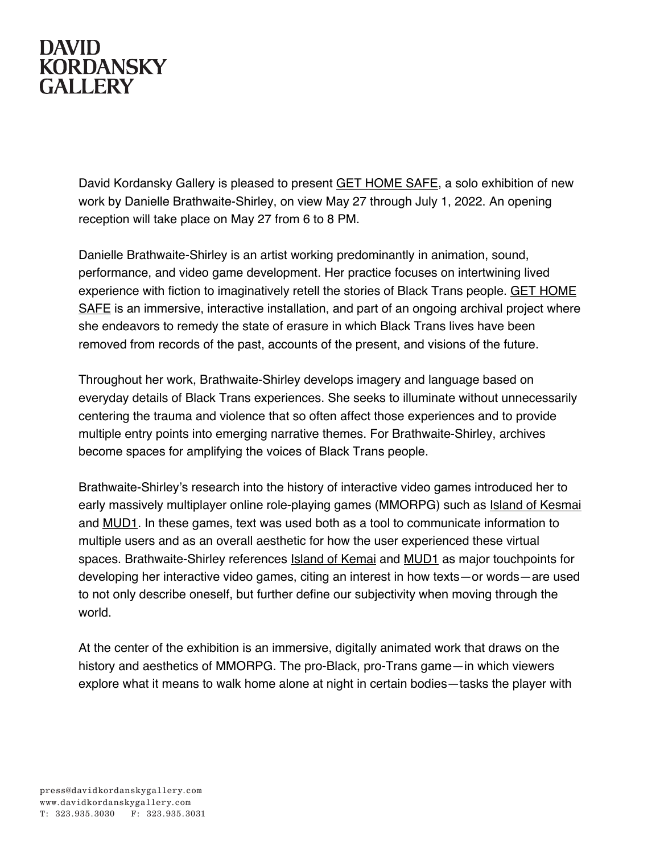## **DAVID KORDANSKY GALLERY**

David Kordansky Gallery is pleased to present GET HOME SAFE, a solo exhibition of new work by Danielle Brathwaite-Shirley, on view May 27 through July 1, 2022. An opening reception will take place on May 27 from 6 to 8 PM.

Danielle Brathwaite-Shirley is an artist working predominantly in animation, sound, performance, and video game development. Her practice focuses on intertwining lived experience with fiction to imaginatively retell the stories of Black Trans people. GET HOME SAFE is an immersive, interactive installation, and part of an ongoing archival project where she endeavors to remedy the state of erasure in which Black Trans lives have been removed from records of the past, accounts of the present, and visions of the future.

Throughout her work, Brathwaite-Shirley develops imagery and language based on everyday details of Black Trans experiences. She seeks to illuminate without unnecessarily centering the trauma and violence that so often affect those experiences and to provide multiple entry points into emerging narrative themes. For Brathwaite-Shirley, archives become spaces for amplifying the voices of Black Trans people.

Brathwaite-Shirley's research into the history of interactive video games introduced her to early massively multiplayer online role-playing games (MMORPG) such as Island of Kesmai and MUD1. In these games, text was used both as a tool to communicate information to multiple users and as an overall aesthetic for how the user experienced these virtual spaces. Brathwaite-Shirley references Island of Kemai and MUD1 as major touchpoints for developing her interactive video games, citing an interest in how texts—or words—are used to not only describe oneself, but further define our subjectivity when moving through the world.

At the center of the exhibition is an immersive, digitally animated work that draws on the history and aesthetics of MMORPG. The pro-Black, pro-Trans game—in which viewers explore what it means to walk home alone at night in certain bodies—tasks the player with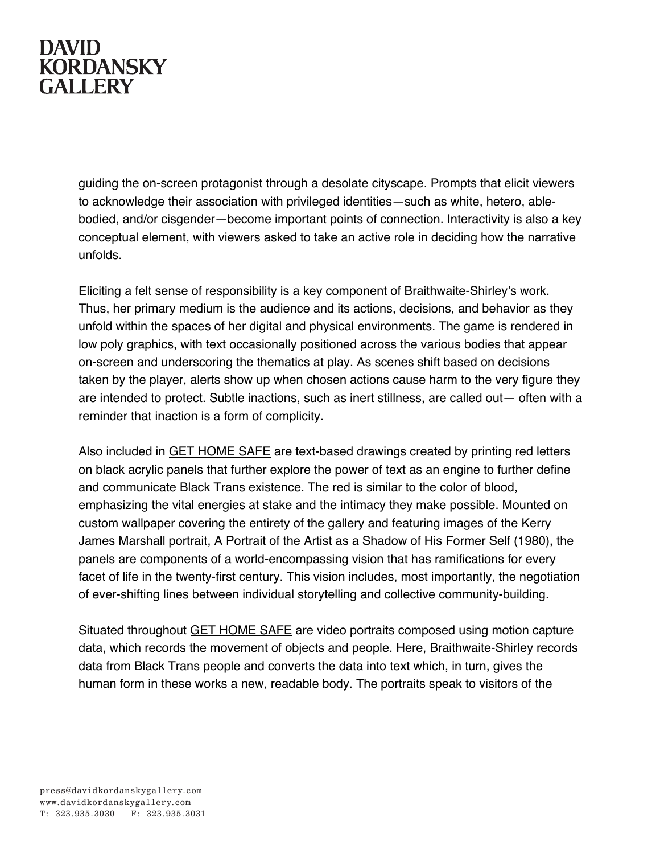## **DAVID KORDANSKY GALLERY**

guiding the on-screen protagonist through a desolate cityscape. Prompts that elicit viewers to acknowledge their association with privileged identities—such as white, hetero, ablebodied, and/or cisgender—become important points of connection. Interactivity is also a key conceptual element, with viewers asked to take an active role in deciding how the narrative unfolds.

Eliciting a felt sense of responsibility is a key component of Braithwaite-Shirley's work. Thus, her primary medium is the audience and its actions, decisions, and behavior as they unfold within the spaces of her digital and physical environments. The game is rendered in low poly graphics, with text occasionally positioned across the various bodies that appear on-screen and underscoring the thematics at play. As scenes shift based on decisions taken by the player, alerts show up when chosen actions cause harm to the very figure they are intended to protect. Subtle inactions, such as inert stillness, are called out— often with a reminder that inaction is a form of complicity.

Also included in GET HOME SAFE are text-based drawings created by printing red letters on black acrylic panels that further explore the power of text as an engine to further define and communicate Black Trans existence. The red is similar to the color of blood, emphasizing the vital energies at stake and the intimacy they make possible. Mounted on custom wallpaper covering the entirety of the gallery and featuring images of the Kerry James Marshall portrait, A Portrait of the Artist as a Shadow of His Former Self (1980), the panels are components of a world-encompassing vision that has ramifications for every facet of life in the twenty-first century. This vision includes, most importantly, the negotiation of ever-shifting lines between individual storytelling and collective community-building.

Situated throughout GET HOME SAFE are video portraits composed using motion capture data, which records the movement of objects and people. Here, Braithwaite-Shirley records data from Black Trans people and converts the data into text which, in turn, gives the human form in these works a new, readable body. The portraits speak to visitors of the